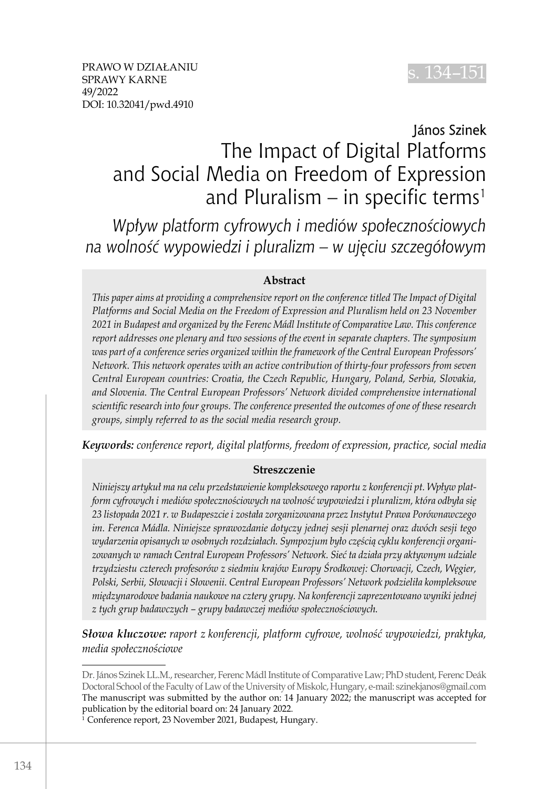

# János Szinek The Impact of Digital Platforms and Social Media on Freedom of Expression and Pluralism – in specific terms<sup>1</sup>

*Wpływ platform cyfrowych i mediów społecznościowych na wolność wypowiedzi i pluralizm – w ujęciu szczegółowym*

#### **Abstract**

*This paper aims at providing a comprehensive report on the conference titled The Impact of Digital Platforms and Social Media on the Freedom of Expression and Pluralism held on 23 November 2021 in Budapest and organized by the Ferenc Mádl Institute of Comparative Law. This conference report addresses one plenary and two sessions of the event in separate chapters. The symposium was part of a conference series organized within the framework of the Central European Professors' Network. This network operates with an active contribution of thirty-four professors from seven Central European countries: Croatia, the Czech Republic, Hungary, Poland, Serbia, Slovakia, and Slovenia. The Central European Professors' Network divided comprehensive international scientific research into four groups. The conference presented the outcomes of one of these research groups, simply referred to as the social media research group.*

*Keywords: conference report, digital platforms, freedom of expression, practice, social media*

#### **Streszczenie**

*Niniejszy artykuł ma na celu przedstawienie kompleksowego raportu z konferencji pt. Wpływ platform cyfrowych i mediów społecznościowych na wolność wypowiedzi i pluralizm, która odbyła się 23 listopada 2021 r. w Budapeszcie i została zorganizowana przez Instytut Prawa Porównawczego im. Ferenca Mádla. Niniejsze sprawozdanie dotyczy jednej sesji plenarnej oraz dwóch sesji tego wydarzenia opisanych w osobnych rozdziałach. Sympozjum było częścią cyklu konferencji organizowanych w ramach Central European Professors' Network. Sieć ta działa przy aktywnym udziale trzydziestu czterech profesorów z siedmiu krajów Europy Środkowej: Chorwacji, Czech, Węgier, Polski, Serbii, Słowacji i Słowenii. Central European Professors' Network podzieliła kompleksowe międzynarodowe badania naukowe na cztery grupy. Na konferencji zaprezentowano wyniki jednej z tych grup badawczych – grupy badawczej mediów społecznościowych.*

*Słowa kluczowe: raport z konferencji, platform cyfrowe, wolność wypowiedzi, praktyka, media społecznościowe*

Dr. János Szinek LL.M., researcher, Ferenc Mádl Institute of Comparative Law; PhD student, Ferenc Deák Doctoral School of the Faculty of Law of the University of Miskolc, Hungary, e-mail: szinekjanos@gmail.com The manuscript was submitted by the author on: 14 January 2022; the manuscript was accepted for publication by the editorial board on: 24 January 2022.

<sup>1</sup> Conference report, 23 November 2021, Budapest, Hungary.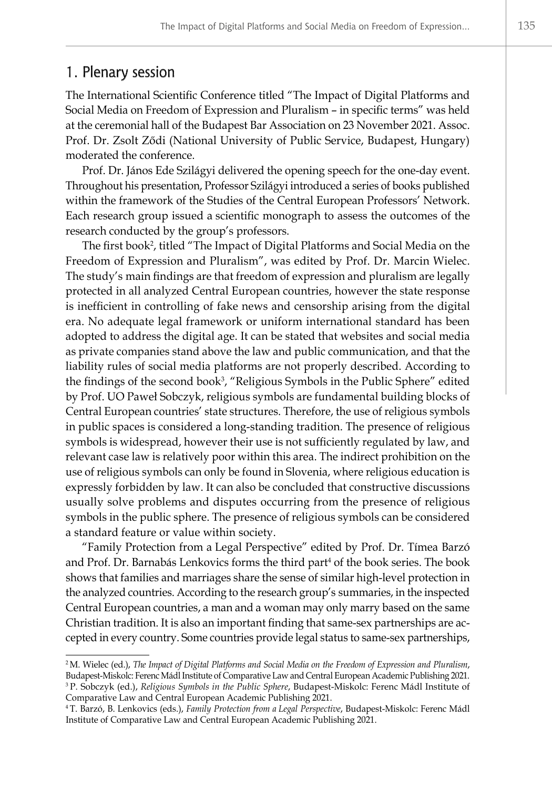## 1. Plenary session

The International Scientific Conference titled "The Impact of Digital Platforms and Social Media on Freedom of Expression and Pluralism – in specific terms" was held at the ceremonial hall of the Budapest Bar Association on 23 November 2021. Assoc. Prof. Dr. Zsolt Ződi (National University of Public Service, Budapest, Hungary) moderated the conference.

Prof. Dr. János Ede Szilágyi delivered the opening speech for the one-day event. Throughout his presentation, Professor Szilágyi introduced a series of books published within the framework of the Studies of the Central European Professors' Network. Each research group issued a scientific monograph to assess the outcomes of the research conducted by the group's professors.

The first book<sup>2</sup>, titled "The Impact of Digital Platforms and Social Media on the Freedom of Expression and Pluralism", was edited by Prof. Dr. Marcin Wielec. The study's main findings are that freedom of expression and pluralism are legally protected in all analyzed Central European countries, however the state response is inefficient in controlling of fake news and censorship arising from the digital era. No adequate legal framework or uniform international standard has been adopted to address the digital age. It can be stated that websites and social media as private companies stand above the law and public communication, and that the liability rules of social media platforms are not properly described. According to the findings of the second book<sup>3</sup>, "Religious Symbols in the Public Sphere" edited by Prof. UO Paweł Sobczyk, religious symbols are fundamental building blocks of Central European countries' state structures. Therefore, the use of religious symbols in public spaces is considered a long-standing tradition. The presence of religious symbols is widespread, however their use is not sufficiently regulated by law, and relevant case law is relatively poor within this area. The indirect prohibition on the use of religious symbols can only be found in Slovenia, where religious education is expressly forbidden by law. It can also be concluded that constructive discussions usually solve problems and disputes occurring from the presence of religious symbols in the public sphere. The presence of religious symbols can be considered a standard feature or value within society.

"Family Protection from a Legal Perspective" edited by Prof. Dr. Tímea Barzó and Prof. Dr. Barnabás Lenkovics forms the third part<sup>4</sup> of the book series. The book shows that families and marriages share the sense of similar high-level protection in the analyzed countries. According to the research group's summaries, in the inspected Central European countries, a man and a woman may only marry based on the same Christian tradition. It is also an important finding that same-sex partnerships are accepted in every country. Some countries provide legal status to same-sex partnerships,

<sup>2</sup> M. Wielec (ed.), *The Impact of Digital Platforms and Social Media on the Freedom of Expression and Pluralism*, Budapest-Miskolc: Ferenc Mádl Institute of Comparative Law and Central European Academic Publishing 2021. <sup>3</sup> P. Sobczyk (ed.), *Religious Symbols in the Public Sphere*, Budapest-Miskolc: Ferenc Mádl Institute of Comparative Law and Central European Academic Publishing 2021.

<sup>4</sup> T. Barzó, B. Lenkovics (eds.), *Family Protection from a Legal Perspective*, Budapest-Miskolc: Ferenc Mádl Institute of Comparative Law and Central European Academic Publishing 2021.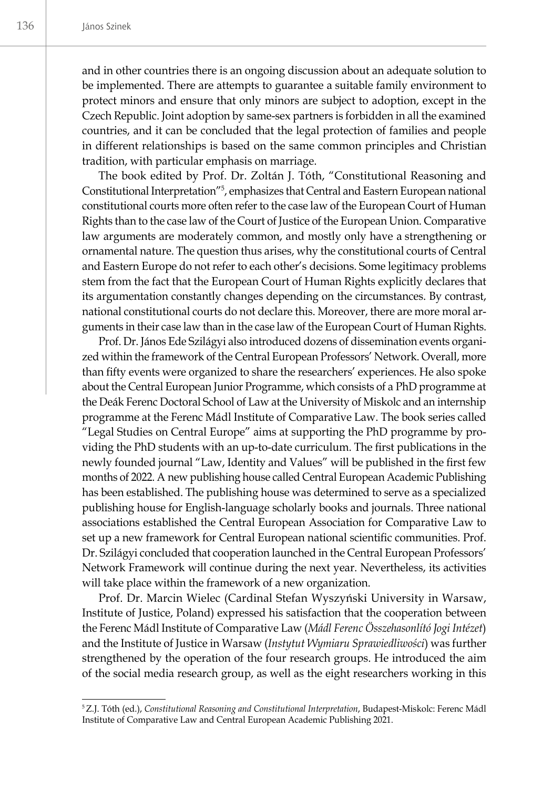and in other countries there is an ongoing discussion about an adequate solution to be implemented. There are attempts to guarantee a suitable family environment to protect minors and ensure that only minors are subject to adoption, except in the Czech Republic. Joint adoption by same-sex partners is forbidden in all the examined countries, and it can be concluded that the legal protection of families and people in different relationships is based on the same common principles and Christian tradition, with particular emphasis on marriage.

The book edited by Prof. Dr. Zoltán J. Tóth, "Constitutional Reasoning and Constitutional Interpretation<sup>"5</sup>, emphasizes that Central and Eastern European national constitutional courts more often refer to the case law of the European Court of Human Rights than to the case law of the Court of Justice of the European Union. Comparative law arguments are moderately common, and mostly only have a strengthening or ornamental nature. The question thus arises, why the constitutional courts of Central and Eastern Europe do not refer to each other's decisions. Some legitimacy problems stem from the fact that the European Court of Human Rights explicitly declares that its argumentation constantly changes depending on the circumstances. By contrast, national constitutional courts do not declare this. Moreover, there are more moral arguments in their case law than in the case law of the European Court of Human Rights.

Prof. Dr. János Ede Szilágyi also introduced dozens of dissemination events organized within the framework of the Central European Professors' Network. Overall, more than fifty events were organized to share the researchers' experiences. He also spoke about the Central European Junior Programme, which consists of a PhD programme at the Deák Ferenc Doctoral School of Law at the University of Miskolc and an internship programme at the Ferenc Mádl Institute of Comparative Law. The book series called "Legal Studies on Central Europe" aims at supporting the PhD programme by providing the PhD students with an up-to-date curriculum. The first publications in the newly founded journal "Law, Identity and Values" will be published in the first few months of 2022. A new publishing house called Central European Academic Publishing has been established. The publishing house was determined to serve as a specialized publishing house for English-language scholarly books and journals. Three national associations established the Central European Association for Comparative Law to set up a new framework for Central European national scientific communities. Prof. Dr. Szilágyi concluded that cooperation launched in the Central European Professors' Network Framework will continue during the next year. Nevertheless, its activities will take place within the framework of a new organization.

Prof. Dr. Marcin Wielec (Cardinal Stefan Wyszyński University in Warsaw, Institute of Justice, Poland) expressed his satisfaction that the cooperation between the Ferenc Mádl Institute of Comparative Law (*Mádl Ferenc Összehasonlító Jogi Intézet*) and the Institute of Justice in Warsaw (*Instytut Wymiaru Sprawiedliwości*) was further strengthened by the operation of the four research groups. He introduced the aim of the social media research group, as well as the eight researchers working in this

<sup>5</sup>Z.J. Tóth (ed.), *Constitutional Reasoning and Constitutional Interpretation*, Budapest-Miskolc: Ferenc Mádl Institute of Comparative Law and Central European Academic Publishing 2021.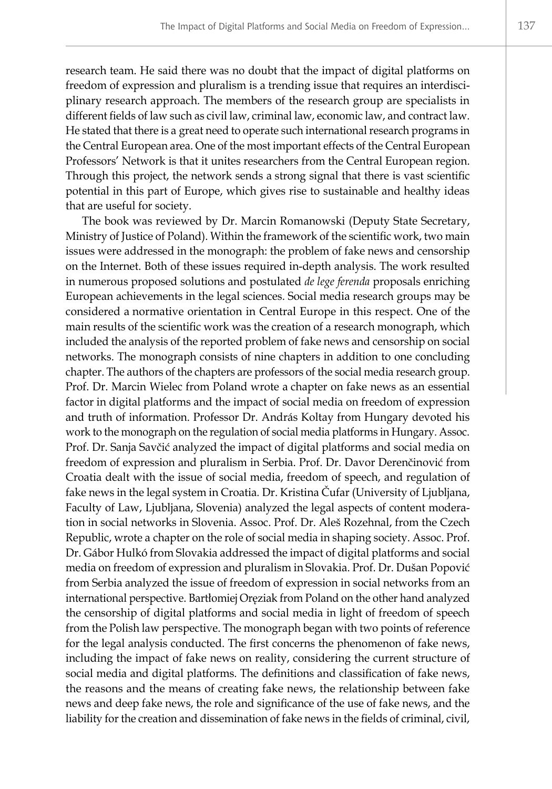research team. He said there was no doubt that the impact of digital platforms on freedom of expression and pluralism is a trending issue that requires an interdisciplinary research approach. The members of the research group are specialists in different fields of law such as civil law, criminal law, economic law, and contract law. He stated that there is a great need to operate such international research programs in the Central European area. One of the most important effects of the Central European Professors' Network is that it unites researchers from the Central European region. Through this project, the network sends a strong signal that there is vast scientific potential in this part of Europe, which gives rise to sustainable and healthy ideas that are useful for society.

The book was reviewed by Dr. Marcin Romanowski (Deputy State Secretary, Ministry of Justice of Poland). Within the framework of the scientific work, two main issues were addressed in the monograph: the problem of fake news and censorship on the Internet. Both of these issues required in-depth analysis. The work resulted in numerous proposed solutions and postulated *de lege ferenda* proposals enriching European achievements in the legal sciences. Social media research groups may be considered a normative orientation in Central Europe in this respect. One of the main results of the scientific work was the creation of a research monograph, which included the analysis of the reported problem of fake news and censorship on social networks. The monograph consists of nine chapters in addition to one concluding chapter. The authors of the chapters are professors of the social media research group. Prof. Dr. Marcin Wielec from Poland wrote a chapter on fake news as an essential factor in digital platforms and the impact of social media on freedom of expression and truth of information. Professor Dr. András Koltay from Hungary devoted his work to the monograph on the regulation of social media platforms in Hungary. Assoc. Prof. Dr. Sanja Savčić analyzed the impact of digital platforms and social media on freedom of expression and pluralism in Serbia. Prof. Dr. Davor Derenčinović from Croatia dealt with the issue of social media, freedom of speech, and regulation of fake news in the legal system in Croatia*.* Dr. Kristina Čufar (University of Ljubljana, Faculty of Law, Ljubljana, Slovenia) analyzed the legal aspects of content moderation in social networks in Slovenia. Assoc. Prof. Dr. Aleš Rozehnal, from the Czech Republic, wrote a chapter on the role of social media in shaping society. Assoc. Prof. Dr. Gábor Hulkó from Slovakia addressed the impact of digital platforms and social media on freedom of expression and pluralism in Slovakia. Prof. Dr. Dušan Popović from Serbia analyzed the issue of freedom of expression in social networks from an international perspective. Bartłomiej Oręziak from Poland on the other hand analyzed the censorship of digital platforms and social media in light of freedom of speech from the Polish law perspective. The monograph began with two points of reference for the legal analysis conducted. The first concerns the phenomenon of fake news, including the impact of fake news on reality, considering the current structure of social media and digital platforms. The definitions and classification of fake news, the reasons and the means of creating fake news, the relationship between fake news and deep fake news, the role and significance of the use of fake news, and the liability for the creation and dissemination of fake news in the fields of criminal, civil,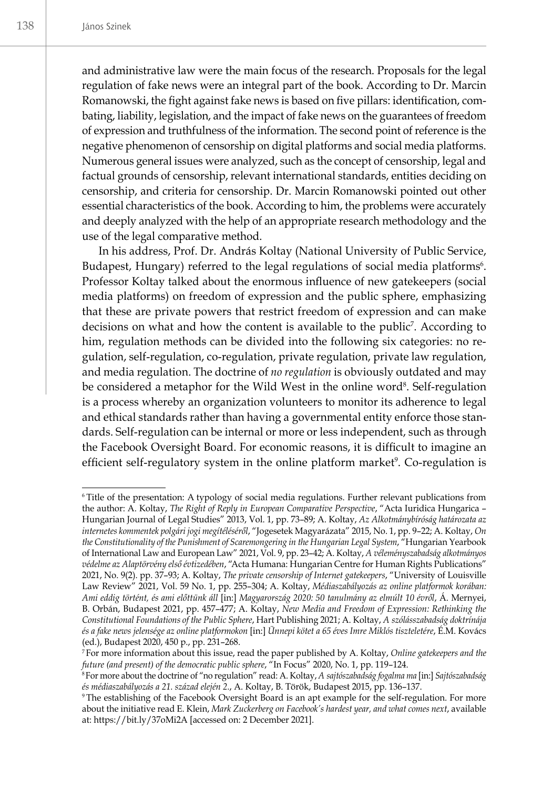and administrative law were the main focus of the research. Proposals for the legal regulation of fake news were an integral part of the book. According to Dr. Marcin Romanowski, the fight against fake news is based on five pillars: identification, combating, liability, legislation, and the impact of fake news on the guarantees of freedom of expression and truthfulness of the information. The second point of reference is the negative phenomenon of censorship on digital platforms and social media platforms. Numerous general issues were analyzed, such as the concept of censorship, legal and factual grounds of censorship, relevant international standards, entities deciding on censorship, and criteria for censorship. Dr. Marcin Romanowski pointed out other essential characteristics of the book. According to him, the problems were accurately and deeply analyzed with the help of an appropriate research methodology and the use of the legal comparative method.

In his address, Prof. Dr. András Koltay (National University of Public Service, Budapest, Hungary) referred to the legal regulations of social media platforms<sup>6</sup>. Professor Koltay talked about the enormous influence of new gatekeepers (social media platforms) on freedom of expression and the public sphere, emphasizing that these are private powers that restrict freedom of expression and can make decisions on what and how the content is available to the public<sup>7</sup>. According to him, regulation methods can be divided into the following six categories: no regulation, self-regulation, co-regulation, private regulation, private law regulation, and media regulation. The doctrine of *no regulation* is obviously outdated and may be considered a metaphor for the Wild West in the online word<sup>8</sup>. Self-regulation is a process whereby an organization volunteers to monitor its adherence to legal and ethical standards rather than having a governmental entity enforce those standards. Self-regulation can be internal or more or less independent, such as through the Facebook Oversight Board. For economic reasons, it is difficult to imagine an efficient self-regulatory system in the online platform market<sup>9</sup>. Co-regulation is

<sup>6</sup> Title of the presentation: A typology of social media regulations. Further relevant publications from the author: A. Koltay, *The Right of Reply in European Comparative Perspective*, "Acta Iuridica Hungarica – Hungarian Journal of Legal Studies" 2013, Vol. 1, pp. 73–89; A. Koltay, *Az Alkotmánybíróság határozata az internetes kommentek polgári jogi megítéléséről*, "Jogesetek Magyarázata" 2015, No. 1, pp. 9–22; A. Koltay, *On the Constitutionality of the Punishment of Scaremongering in the Hungarian Legal System*, "Hungarian Yearbook of International Law and European Law" 2021, Vol. 9, pp. 23–42; A. Koltay, *A véleményszabadság alkotmányos védelme az Alaptörvény első évtizedében*, "Acta Humana: Hungarian Centre for Human Rights Publications" 2021, No. 9(2). pp. 37–93; A. Koltay, *The private censorship of Internet gatekeepers*, "University of Louisville Law Review" 2021, Vol. 59 No. 1, pp. 255–304; A. Koltay, *Médiaszabályozás az online platformok korában: Ami eddig történt, és ami előttünk áll* [in:] *Magyarország 2020: 50 tanulmány az elmúlt 10 évről*, Á. Mernyei, B. Orbán, Budapest 2021, pp. 457–477; A. Koltay, *New Media and Freedom of Expression: Rethinking the Constitutional Foundations of the Public Sphere*, Hart Publishing 2021; A. Koltay, *A szólásszabadság doktrínája és a fake news jelensége az online platformokon* [in:] *Ünnepi kötet a 65 éves Imre Miklós tiszteletére*, É.M. Kovács (ed.), Budapest 2020, 450 p., pp. 231–268.

<sup>7</sup> For more information about this issue, read the paper published by A. Koltay, *Online gatekeepers and the future (and present) of the democratic public sphere*, "In Focus" 2020, No. 1, pp. 119–124.

<sup>8</sup>For more about the doctrine of "no regulation" read: A. Koltay, *A sajtószabadság fogalma ma* [in:] *Sajtószabadság és médiaszabályozás a 21. század elején 2.*, A. Koltay, B. Török, Budapest 2015, pp. 136–137.

<sup>9</sup> The establishing of the Facebook Oversight Board is an apt example for the self-regulation. For more about the initiative read E. Klein, *Mark Zuckerberg on Facebook's hardest year, and what comes next*, available at: https://bit.ly/37oMi2A [accessed on: 2 December 2021].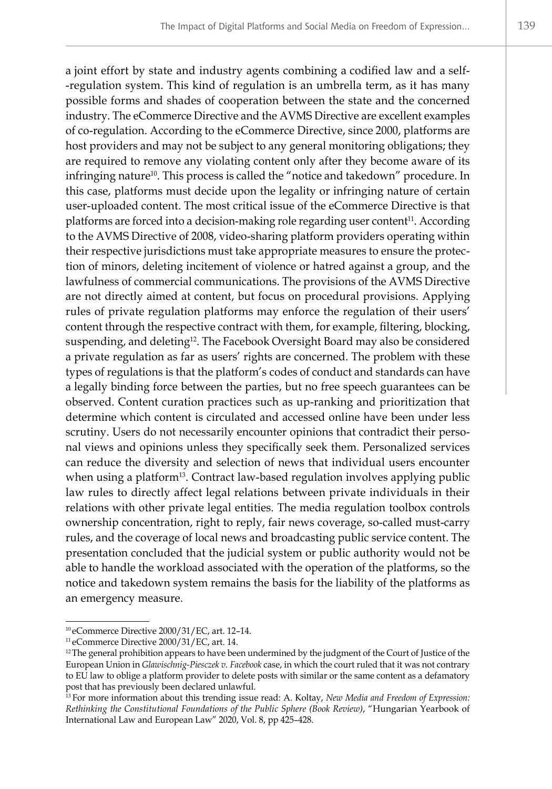a joint effort by state and industry agents combining a codified law and a self- -regulation system. This kind of regulation is an umbrella term, as it has many possible forms and shades of cooperation between the state and the concerned industry. The eCommerce Directive and the AVMS Directive are excellent examples of co-regulation. According to the eCommerce Directive, since 2000, platforms are host providers and may not be subject to any general monitoring obligations; they are required to remove any violating content only after they become aware of its infringing nature<sup>10</sup>. This process is called the "notice and takedown" procedure. In this case, platforms must decide upon the legality or infringing nature of certain user-uploaded content. The most critical issue of the eCommerce Directive is that platforms are forced into a decision-making role regarding user content<sup>11</sup>. According to the AVMS Directive of 2008, video-sharing platform providers operating within their respective jurisdictions must take appropriate measures to ensure the protection of minors, deleting incitement of violence or hatred against a group, and the lawfulness of commercial communications. The provisions of the AVMS Directive are not directly aimed at content, but focus on procedural provisions. Applying rules of private regulation platforms may enforce the regulation of their users' content through the respective contract with them, for example, filtering, blocking, suspending, and deleting<sup>12</sup>. The Facebook Oversight Board may also be considered a private regulation as far as users' rights are concerned. The problem with these types of regulations is that the platform's codes of conduct and standards can have a legally binding force between the parties, but no free speech guarantees can be observed. Content curation practices such as up-ranking and prioritization that determine which content is circulated and accessed online have been under less scrutiny. Users do not necessarily encounter opinions that contradict their personal views and opinions unless they specifically seek them. Personalized services can reduce the diversity and selection of news that individual users encounter when using a platform<sup>13</sup>. Contract law-based regulation involves applying public law rules to directly affect legal relations between private individuals in their relations with other private legal entities. The media regulation toolbox controls ownership concentration, right to reply, fair news coverage, so-called must-carry rules, and the coverage of local news and broadcasting public service content. The presentation concluded that the judicial system or public authority would not be able to handle the workload associated with the operation of the platforms, so the notice and takedown system remains the basis for the liability of the platforms as an emergency measure.

<sup>10</sup> eCommerce Directive 2000/31/EC, art. 12–14.

<sup>11</sup> eCommerce Directive 2000/31/EC, art. 14.

<sup>&</sup>lt;sup>12</sup>The general prohibition appears to have been undermined by the judgment of the Court of Justice of the European Union in *Glawischnig-Piesczek v. Facebook* case, in which the court ruled that it was not contrary to EU law to oblige a platform provider to delete posts with similar or the same content as a defamatory post that has previously been declared unlawful.

<sup>13</sup> For more information about this trending issue read: A. Koltay, *New Media and Freedom of Expression: Rethinking the Constitutional Foundations of the Public Sphere (Book Review)*, "Hungarian Yearbook of International Law and European Law" 2020, Vol. 8, pp 425–428.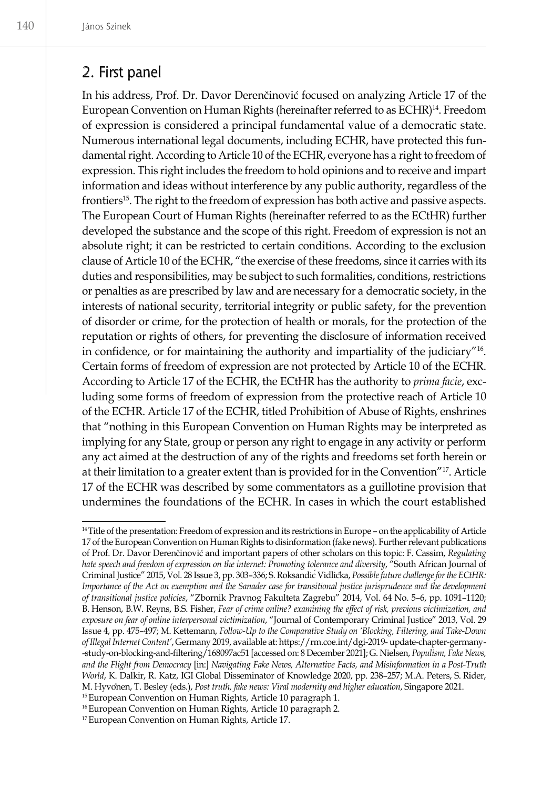## 2. First panel

In his address, Prof. Dr. Davor Derenčinović focused on analyzing Article 17 of the European Convention on Human Rights (hereinafter referred to as ECHR)14. Freedom of expression is considered a principal fundamental value of a democratic state. Numerous international legal documents, including ECHR, have protected this fundamental right. According to Article 10 of the ECHR, everyone has a right to freedom of expression. This right includes the freedom to hold opinions and to receive and impart information and ideas without interference by any public authority, regardless of the frontiers<sup>15</sup>. The right to the freedom of expression has both active and passive aspects. The European Court of Human Rights (hereinafter referred to as the ECtHR) further developed the substance and the scope of this right. Freedom of expression is not an absolute right; it can be restricted to certain conditions. According to the exclusion clause of Article 10 of the ECHR, "the exercise of these freedoms, since it carries with its duties and responsibilities, may be subject to such formalities, conditions, restrictions or penalties as are prescribed by law and are necessary for a democratic society, in the interests of national security, territorial integrity or public safety, for the prevention of disorder or crime, for the protection of health or morals, for the protection of the reputation or rights of others, for preventing the disclosure of information received in confidence, or for maintaining the authority and impartiality of the judiciary"16. Certain forms of freedom of expression are not protected by Article 10 of the ECHR. According to Article 17 of the ECHR, the ECtHR has the authority to *prima facie*, excluding some forms of freedom of expression from the protective reach of Article 10 of the ECHR. Article 17 of the ECHR, titled Prohibition of Abuse of Rights, enshrines that "nothing in this European Convention on Human Rights may be interpreted as implying for any State, group or person any right to engage in any activity or perform any act aimed at the destruction of any of the rights and freedoms set forth herein or at their limitation to a greater extent than is provided for in the Convention"17. Article 17 of the ECHR was described by some commentators as a guillotine provision that undermines the foundations of the ECHR. In cases in which the court established

<sup>&</sup>lt;sup>14</sup>Title of the presentation: Freedom of expression and its restrictions in Europe – on the applicability of Article 17 of the European Convention on Human Rights to disinformation (fake news). Further relevant publications of Prof. Dr. Davor Derenčinović and important papers of other scholars on this topic: F. Cassim, *Regulating hate speech and freedom of expression on the internet: Promoting tolerance and diversity, "South African Journal of* Criminal Justice" 2015, Vol. 28 Issue 3, pp. 303-336; S. Roksandic Vidlicka, Possible future challenge for the ECtHR: *Importance of the Act on exemption and the Sanader case for transitional justice jurisprudence and the development of transitional justice policies*, "Zbornik Pravnog Fakulteta Zagrebu" 2014, Vol. 64 No. 5–6, pp. 1091–1120; B. Henson, B.W. Reyns, B.S. Fisher, *Fear of crime online? examining the effect of risk, previous victimization, and exposure on fear of online interpersonal victimization*, "Journal of Contemporary Criminal Justice" 2013, Vol. 29 Issue 4, pp. 475–497; M. Kettemann, *Follow-Up to the Comparative Study on 'Blocking, Filtering, and Take-Down of Illegal Internet Content'*, Germany 2019, available at: https://rm.coe.int/dgi-2019- update-chapter-germany- -study-on-blocking-and-filtering/168097ac51 [accessed on: 8 December 2021]; G. Nielsen, *Populism, Fake News, and the Flight from Democracy* [in:] *Navigating Fake News, Alternative Facts, and Misinformation in a Post-Truth World*, K. Dalkir, R. Katz, IGI Global Disseminator of Knowledge 2020, pp. 238–257; M.A. Peters, S. Rider, M. Hyvonen, T. Besley (eds.), Post truth, fake news: Viral modernity and higher education, Singapore 2021.

<sup>&</sup>lt;sup>15</sup> European Convention on Human Rights, Article 10 paragraph 1.

<sup>&</sup>lt;sup>16</sup> European Convention on Human Rights, Article 10 paragraph 2.

<sup>17</sup>European Convention on Human Rights, Article 17.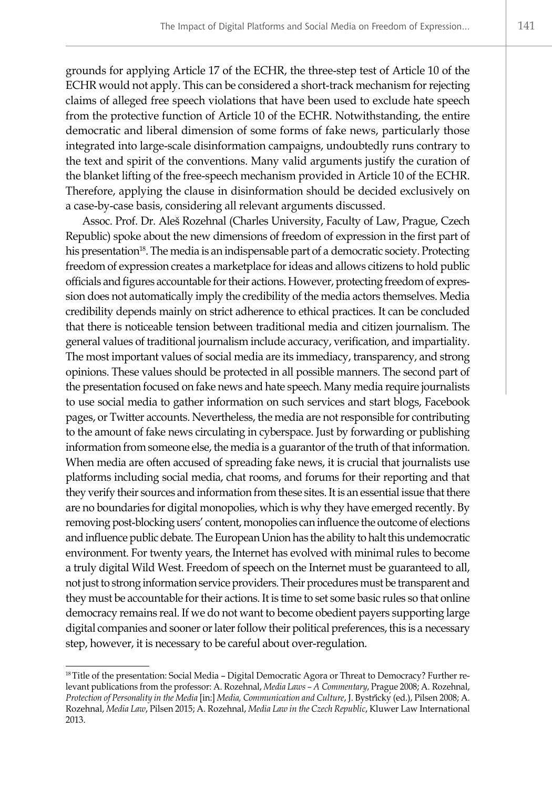grounds for applying Article 17 of the ECHR, the three-step test of Article 10 of the ECHR would not apply. This can be considered a short-track mechanism for rejecting claims of alleged free speech violations that have been used to exclude hate speech from the protective function of Article 10 of the ECHR. Notwithstanding, the entire democratic and liberal dimension of some forms of fake news, particularly those integrated into large-scale disinformation campaigns, undoubtedly runs contrary to the text and spirit of the conventions. Many valid arguments justify the curation of the blanket lifting of the free-speech mechanism provided in Article 10 of the ECHR. Therefore, applying the clause in disinformation should be decided exclusively on a case-by-case basis, considering all relevant arguments discussed.

Assoc. Prof. Dr. Aleš Rozehnal (Charles University, Faculty of Law, Prague, Czech Republic) spoke about the new dimensions of freedom of expression in the first part of his presentation<sup>18</sup>. The media is an indispensable part of a democratic society. Protecting freedom of expression creates a marketplace for ideas and allows citizens to hold public officials and figures accountable for their actions. However, protecting freedom of expression does not automatically imply the credibility of the media actors themselves. Media credibility depends mainly on strict adherence to ethical practices. It can be concluded that there is noticeable tension between traditional media and citizen journalism. The general values of traditional journalism include accuracy, verification, and impartiality. The most important values of social media are its immediacy, transparency, and strong opinions. These values should be protected in all possible manners. The second part of the presentation focused on fake news and hate speech. Many media require journalists to use social media to gather information on such services and start blogs, Facebook pages, or Twitter accounts. Nevertheless, the media are not responsible for contributing to the amount of fake news circulating in cyberspace. Just by forwarding or publishing information from someone else, the media is a guarantor of the truth of that information. When media are often accused of spreading fake news, it is crucial that journalists use platforms including social media, chat rooms, and forums for their reporting and that they verify their sources and information from these sites. It is an essential issue that there are no boundaries for digital monopolies, which is why they have emerged recently. By removing post-blocking users' content, monopolies can influence the outcome of elections and influence public debate. The European Union has the ability to halt this undemocratic environment. For twenty years, the Internet has evolved with minimal rules to become a truly digital Wild West. Freedom of speech on the Internet must be guaranteed to all, not just to strong information service providers. Their procedures must be transparent and they must be accountable for their actions. It is time to set some basic rules so that online democracy remains real. If we do not want to become obedient payers supporting large digital companies and sooner or later follow their political preferences, this is a necessary step, however, it is necessary to be careful about over-regulation.

<sup>18</sup>Title of the presentation: Social Media – Digital Democratic Agora or Threat to Democracy? Further relevant publications from the professor: A. Rozehnal, *Media Laws – A Commentary*, Prague 2008; A. Rozehnal, *Protection of Personality in the Media* [in:] *Media, Communication and Culture*, J. Bystricky ̌ (ed.), Pilsen 2008; A. ́ Rozehnal, *Media Law*, Pilsen 2015; A. Rozehnal, *Media Law in the Czech Republic*, Kluwer Law International 2013.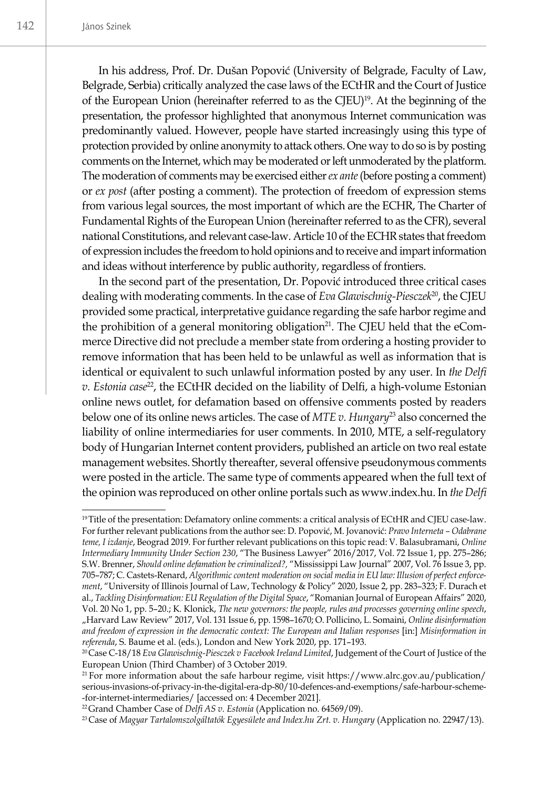In his address, Prof. Dr. Dušan Popović (University of Belgrade, Faculty of Law, Belgrade, Serbia) critically analyzed the case laws of the ECtHR and the Court of Justice of the European Union (hereinafter referred to as the CJEU)<sup>19</sup>. At the beginning of the presentation, the professor highlighted that anonymous Internet communication was predominantly valued. However, people have started increasingly using this type of protection provided by online anonymity to attack others. One way to do so is by posting comments on the Internet, which may be moderated or left unmoderated by the platform. The moderation of comments may be exercised either *ex ante* (before posting a comment) or *ex post* (after posting a comment). The protection of freedom of expression stems from various legal sources, the most important of which are the ECHR, The Charter of Fundamental Rights of the European Union (hereinafter referred to as the CFR), several national Constitutions, and relevant case-law. Article 10 of the ECHR states that freedom of expression includes the freedom to hold opinions and to receive and impart information and ideas without interference by public authority, regardless of frontiers.

In the second part of the presentation, Dr. Popović introduced three critical cases dealing with moderating comments. In the case of *Eva Glawischnig-Piesczek<sup>20</sup>*, the CJEU provided some practical, interpretative guidance regarding the safe harbor regime and the prohibition of a general monitoring obligation<sup>21</sup>. The CJEU held that the eCommerce Directive did not preclude a member state from ordering a hosting provider to remove information that has been held to be unlawful as well as information that is identical or equivalent to such unlawful information posted by any user. In *the Delfi v. Estonia case*<sup>22</sup>, the ECtHR decided on the liability of Delfi, a high-volume Estonian online news outlet, for defamation based on offensive comments posted by readers below one of its online news articles. The case of *MTE v. Hungary*<sup>23</sup> also concerned the liability of online intermediaries for user comments. In 2010, MTE, a self-regulatory body of Hungarian Internet content providers, published an article on two real estate management websites. Shortly thereafter, several offensive pseudonymous comments were posted in the article. The same type of comments appeared when the full text of the opinion was reproduced on other online portals such as www.index.hu. In *the Delfi* 

<sup>&</sup>lt;sup>19</sup>Title of the presentation: Defamatory online comments: a critical analysis of ECtHR and CJEU case-law. For further relevant publications from the author see: D. Popović, M. Jovanović: *Pravo Interneta – Odabrane teme, I izdanje*, Beograd 2019. For further relevant publications on this topic read: V. Balasubramani, *Online Intermediary Immunity Under Section 230*, "The Business Lawyer" 2016/2017, Vol. 72 Issue 1, pp. 275–286; S.W. Brenner, *Should online defamation be criminalized?,* "Mississippi Law Journal" 2007, Vol. 76 Issue 3, pp. 705–787; C. Castets-Renard, *Algorithmic content moderation on social media in EU law: Illusion of perfect enforcement*, "University of Illinois Journal of Law, Technology & Policy" 2020, Issue 2, pp. 283–323; F. Durach et al., *Tackling Disinformation: EU Regulation of the Digital Space*, "Romanian Journal of European Affairs" 2020, Vol. 20 No 1, pp. 5–20.; K. Klonick, *The new governors: the people, rules and processes governing online speech*, "Harvard Law Review" 2017, Vol. 131 Issue 6, pp. 1598–1670; O. Pollicino, L. Somaini, *Online disinformation and freedom of expression in the democratic context: The European and Italian responses* [in:] *Misinformation in referenda*, S. Baume et al. (eds.), London and New York 2020, pp. 171–193.

<sup>20</sup>Case C‑18/18 *Eva Glawischnig-Piesczek v Facebook Ireland Limited*, Judgement of the Court of Justice of the European Union (Third Chamber) of 3 October 2019.

<sup>21</sup> For more information about the safe harbour regime, visit https://www.alrc.gov.au/publication/ serious-invasions-of-privacy-in-the-digital-era-dp-80/10-defences-and-exemptions/safe-harbour-scheme- -for-internet-intermediaries/ [accessed on: 4 December 2021].

<sup>22</sup>Grand Chamber Case of *Delfi AS v. Estonia* (Application no. 64569/09).

<sup>23</sup> Case of *Magyar Tartalomszolgáltatók Egyesülete and Index.hu Zrt. v. Hungary* (Application no. 22947/13).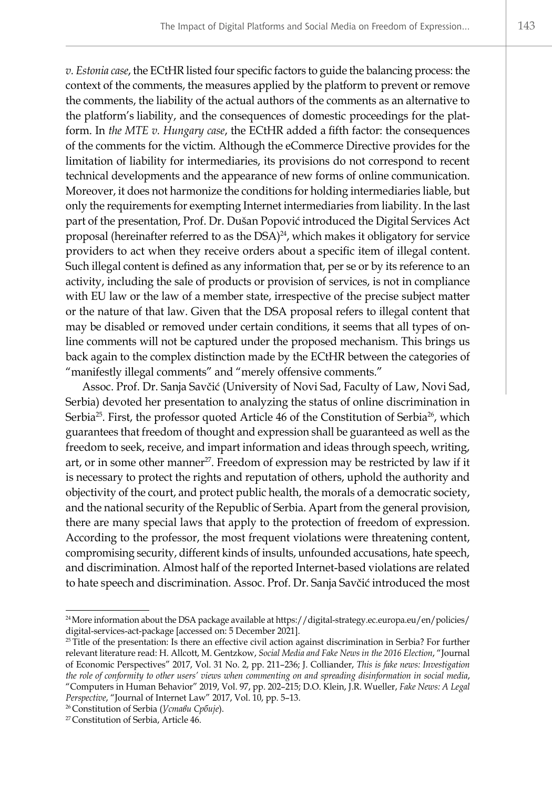*v. Estonia case*, the ECtHR listed four specific factors to guide the balancing process: the context of the comments, the measures applied by the platform to prevent or remove the comments, the liability of the actual authors of the comments as an alternative to the platform's liability, and the consequences of domestic proceedings for the platform. In *the MTE v. Hungary case*, the ECtHR added a fifth factor: the consequences of the comments for the victim. Although the eCommerce Directive provides for the limitation of liability for intermediaries, its provisions do not correspond to recent technical developments and the appearance of new forms of online communication. Moreover, it does not harmonize the conditions for holding intermediaries liable, but only the requirements for exempting Internet intermediaries from liability. In the last part of the presentation, Prof. Dr. Dušan Popović introduced the Digital Services Act proposal (hereinafter referred to as the DSA)<sup>24</sup>, which makes it obligatory for service providers to act when they receive orders about a specific item of illegal content. Such illegal content is defined as any information that, per se or by its reference to an activity, including the sale of products or provision of services, is not in compliance with EU law or the law of a member state, irrespective of the precise subject matter or the nature of that law. Given that the DSA proposal refers to illegal content that may be disabled or removed under certain conditions, it seems that all types of online comments will not be captured under the proposed mechanism. This brings us back again to the complex distinction made by the ECtHR between the categories of "manifestly illegal comments" and "merely offensive comments."

Assoc. Prof. Dr. Sanja Savčić (University of Novi Sad, Faculty of Law, Novi Sad, Serbia) devoted her presentation to analyzing the status of online discrimination in Serbia<sup>25</sup>. First, the professor quoted Article 46 of the Constitution of Serbia<sup>26</sup>, which guarantees that freedom of thought and expression shall be guaranteed as well as the freedom to seek, receive, and impart information and ideas through speech, writing, art, or in some other manner<sup>27</sup>. Freedom of expression may be restricted by law if it is necessary to protect the rights and reputation of others, uphold the authority and objectivity of the court, and protect public health, the morals of a democratic society, and the national security of the Republic of Serbia. Apart from the general provision, there are many special laws that apply to the protection of freedom of expression. According to the professor, the most frequent violations were threatening content, compromising security, different kinds of insults, unfounded accusations, hate speech, and discrimination. Almost half of the reported Internet-based violations are related to hate speech and discrimination. Assoc. Prof. Dr. Sanja Savčić introduced the most

<sup>&</sup>lt;sup>24</sup> More information about the DSA package available at https://digital-strategy.ec.europa.eu/en/policies/ digital-services-act-package [accessed on: 5 December 2021].

<sup>&</sup>lt;sup>25</sup> Title of the presentation: Is there an effective civil action against discrimination in Serbia? For further relevant literature read: H. Allcott, M. Gentzkow, *Social Media and Fake News in the 2016 Election*, "Journal of Economic Perspectives" 2017, Vol. 31 No. 2, pp. 211–236; J. Colliander, *This is fake news: Investigation the role of conformity to other users' views when commenting on and spreading disinformation in social media*, "Computers in Human Behavior" 2019, Vol. 97, pp. 202–215; D.O. Klein, J.R. Wueller, *Fake News: A Legal Perspective*, "Journal of Internet Law" 2017, Vol. 10, pp. 5–13.

<sup>26</sup> Constitution of Serbia (*Устави Србије*).

<sup>27</sup> Constitution of Serbia, Article 46.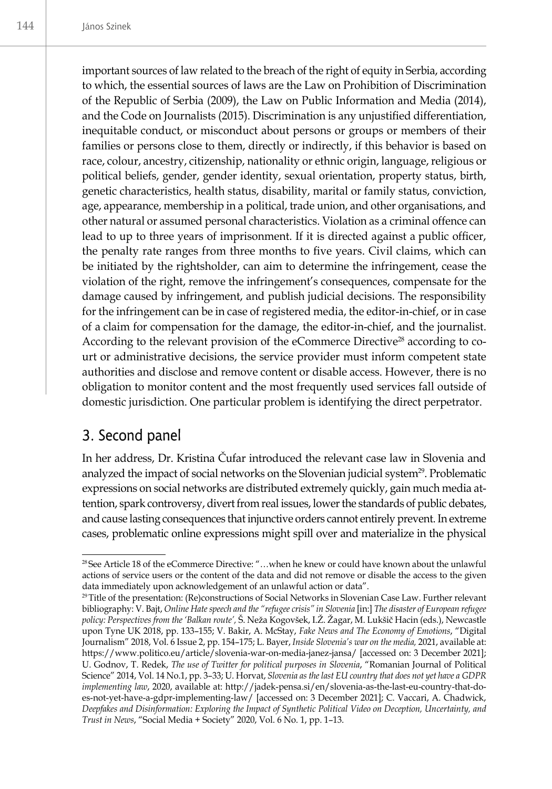important sources of law related to the breach of the right of equity in Serbia, according to which, the essential sources of laws are the Law on Prohibition of Discrimination of the Republic of Serbia (2009), the Law on Public Information and Media (2014), and the Code on Journalists (2015). Discrimination is any unjustified differentiation, inequitable conduct, or misconduct about persons or groups or members of their families or persons close to them, directly or indirectly, if this behavior is based on race, colour, ancestry, citizenship, nationality or ethnic origin, language, religious or political beliefs, gender, gender identity, sexual orientation, property status, birth, genetic characteristics, health status, disability, marital or family status, conviction, age, appearance, membership in a political, trade union, and other organisations, and other natural or assumed personal characteristics. Violation as a criminal offence can lead to up to three years of imprisonment. If it is directed against a public officer, the penalty rate ranges from three months to five years. Civil claims, which can be initiated by the rightsholder, can aim to determine the infringement, cease the violation of the right, remove the infringement's consequences, compensate for the damage caused by infringement, and publish judicial decisions. The responsibility for the infringement can be in case of registered media, the editor-in-chief, or in case of a claim for compensation for the damage, the editor-in-chief, and the journalist. According to the relevant provision of the eCommerce Directive<sup>28</sup> according to court or administrative decisions, the service provider must inform competent state authorities and disclose and remove content or disable access. However, there is no obligation to monitor content and the most frequently used services fall outside of domestic jurisdiction. One particular problem is identifying the direct perpetrator.

## 3. Second panel

In her address, Dr. Kristina Čufar introduced the relevant case law in Slovenia and analyzed the impact of social networks on the Slovenian judicial system<sup>29</sup>. Problematic expressions on social networks are distributed extremely quickly, gain much media attention, spark controversy, divert from real issues, lower the standards of public debates, and cause lasting consequences that injunctive orders cannot entirely prevent. In extreme cases, problematic online expressions might spill over and materialize in the physical

<sup>28</sup> See Article 18 of the eCommerce Directive: "…when he knew or could have known about the unlawful actions of service users or the content of the data and did not remove or disable the access to the given data immediately upon acknowledgement of an unlawful action or data".

<sup>29</sup>Title of the presentation: (Re)constructions of Social Networks in Slovenian Case Law. Further relevant bibliography: V. Bajt, *Online Hate speech and the "refugee crisis" in Slovenia* [in:] *The disaster of European refugee policy: Perspectives from the 'Balkan route',* Š. Neža Kogovšek, I.Ž. Žagar, M. Lukšič Hacin (eds.), Newcastle upon Tyne UK 2018, pp. 133–155; V. Bakir, A. McStay, *Fake News and The Economy of Emotions*, "Digital Journalism" 2018, Vol. 6 Issue 2, pp. 154–175; L. Bayer, *Inside Slovenia's war on the media,* 2021, available at: https://www.politico.eu/article/slovenia-war-on-media-janez-jansa/ [accessed on: 3 December 2021]; U. Godnov, T. Redek, *The use of Twitter for political purposes in Slovenia*, "Romanian Journal of Political Science" 2014, Vol. 14 No.1, pp. 3–33; U. Horvat, *Slovenia as the last EU country that does not yet have a GDPR implementing law*, 2020, available at: http://jadek-pensa.si/en/slovenia-as-the-last-eu-country-that-does-not-yet-have-a-gdpr-implementing-law/ [accessed on: 3 December 2021]; C. Vaccari, A. Chadwick, *Deepfakes and Disinformation: Exploring the Impact of Synthetic Political Video on Deception, Uncertainty, and Trust in News*, "Social Media + Society" 2020, Vol. 6 No. 1, pp. 1–13.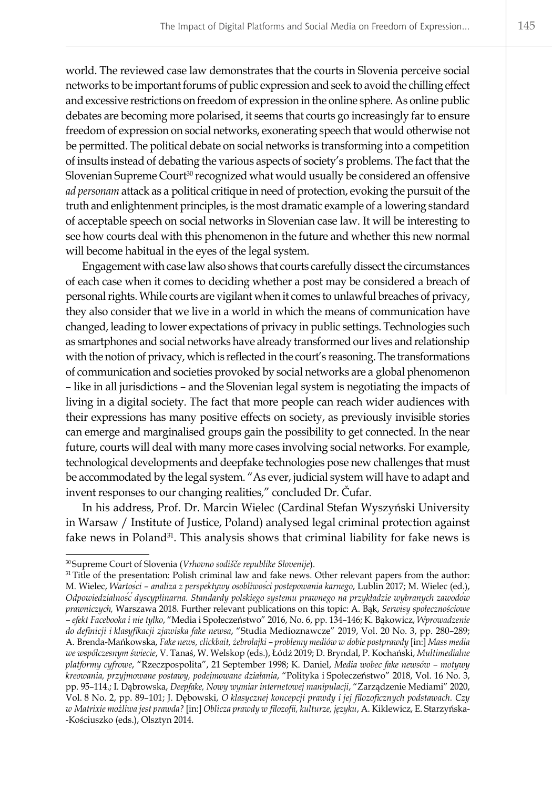world. The reviewed case law demonstrates that the courts in Slovenia perceive social networks to be important forums of public expression and seek to avoid the chilling effect and excessive restrictions on freedom of expression in the online sphere. As online public debates are becoming more polarised, it seems that courts go increasingly far to ensure freedom of expression on social networks, exonerating speech that would otherwise not be permitted. The political debate on social networks is transforming into a competition of insults instead of debating the various aspects of society's problems. The fact that the Slovenian Supreme Court<sup>30</sup> recognized what would usually be considered an offensive *ad personam* attack as a political critique in need of protection, evoking the pursuit of the truth and enlightenment principles, is the most dramatic example of a lowering standard of acceptable speech on social networks in Slovenian case law. It will be interesting to see how courts deal with this phenomenon in the future and whether this new normal will become habitual in the eyes of the legal system.

Engagement with case law also shows that courts carefully dissect the circumstances of each case when it comes to deciding whether a post may be considered a breach of personal rights. While courts are vigilant when it comes to unlawful breaches of privacy, they also consider that we live in a world in which the means of communication have changed, leading to lower expectations of privacy in public settings. Technologies such as smartphones and social networks have already transformed our lives and relationship with the notion of privacy, which is reflected in the court's reasoning. The transformations of communication and societies provoked by social networks are a global phenomenon – like in all jurisdictions – and the Slovenian legal system is negotiating the impacts of living in a digital society. The fact that more people can reach wider audiences with their expressions has many positive effects on society, as previously invisible stories can emerge and marginalised groups gain the possibility to get connected. In the near future, courts will deal with many more cases involving social networks. For example, technological developments and deepfake technologies pose new challenges that must be accommodated by the legal system. "As ever, judicial system will have to adapt and invent responses to our changing realities*,*" concluded Dr. Čufar.

In his address, Prof. Dr. Marcin Wielec (Cardinal Stefan Wyszyński University in Warsaw / Institute of Justice, Poland) analysed legal criminal protection against fake news in Poland<sup>31</sup>. This analysis shows that criminal liability for fake news is

<sup>30</sup> Supreme Court of Slovenia (*Vrhovno sodišče republike Slovenije*).

<sup>&</sup>lt;sup>31</sup> Title of the presentation: Polish criminal law and fake news. Other relevant papers from the author: M. Wielec, *Wartości – analiza z perspektywy osobliwości postępowania karnego*, Lublin 2017; M. Wielec (ed.), *Odpowiedzialność dyscyplinarna. Standardy polskiego systemu prawnego na przykładzie wybranych zawodów prawniczych,* Warszawa 2018. Further relevant publications on this topic: A. Bąk, *Serwisy społecznościowe – efekt Facebooka i nie tylko*, "Media i Społeczeństwo" 2016, No. 6, pp. 134–146; K. Bąkowicz, *Wprowadzenie do definicji i klasyfikacji zjawiska fake newsa*, "Studia Medioznawcze" 2019, Vol. 20 No. 3, pp. 280–289; A. Brenda-Mańkowska, *Fake news, clickbait, żebrolajki – problemy mediów w dobie postprawdy* [in:] *Mass media we współczesnym świecie*, V. Tanaś, W. Welskop (eds.), Łódź 2019; D. Bryndal, P. Kochański, *Multimedialne platformy cyfrowe*, "Rzeczpospolita", 21 September 1998; K. Daniel, *Media wobec fake newsów – motywy kreowania, przyjmowane postawy, podejmowane działania*, "Polityka i Społeczeństwo" 2018, Vol. 16 No. 3, pp. 95-114.; I. Dąbrowska, Deepfake, Nowy wymiar internetowej manipulacji, "Zarządzenie Mediami" 2020, Vol. 8 No. 2, pp. 89–101; J. Dębowski, *O klasycznej koncepcji prawdy i jej filozoficznych podstawach. Czy w Matrixie możliwa jest prawda?* [in:] *Oblicza prawdy w filozofii, kulturze, języku*, A. Kiklewicz, E. Starzyńska- -Kościuszko (eds.), Olsztyn 2014.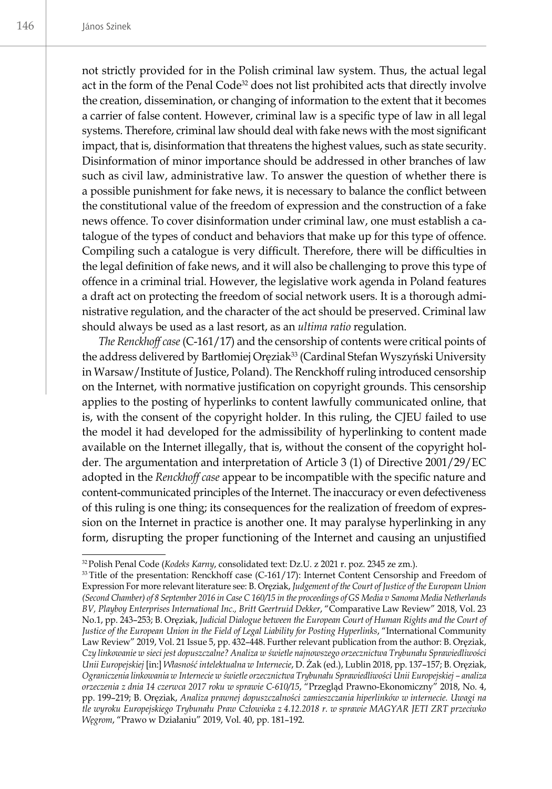not strictly provided for in the Polish criminal law system. Thus, the actual legal act in the form of the Penal Code<sup>32</sup> does not list prohibited acts that directly involve the creation, dissemination, or changing of information to the extent that it becomes a carrier of false content. However, criminal law is a specific type of law in all legal systems. Therefore, criminal law should deal with fake news with the most significant impact, that is, disinformation that threatens the highest values, such as state security. Disinformation of minor importance should be addressed in other branches of law such as civil law, administrative law. To answer the question of whether there is a possible punishment for fake news, it is necessary to balance the conflict between the constitutional value of the freedom of expression and the construction of a fake news offence. To cover disinformation under criminal law, one must establish a catalogue of the types of conduct and behaviors that make up for this type of offence. Compiling such a catalogue is very difficult. Therefore, there will be difficulties in the legal definition of fake news, and it will also be challenging to prove this type of offence in a criminal trial. However, the legislative work agenda in Poland features a draft act on protecting the freedom of social network users. It is a thorough administrative regulation, and the character of the act should be preserved. Criminal law should always be used as a last resort, as an *ultima ratio* regulation.

*The Renckhoff case* (C-161/17) and the censorship of contents were critical points of the address delivered by Bartłomiej Oręziak<sup>33</sup> (Cardinal Stefan Wyszyński University in Warsaw/Institute of Justice, Poland). The Renckhoff ruling introduced censorship on the Internet, with normative justification on copyright grounds. This censorship applies to the posting of hyperlinks to content lawfully communicated online, that is, with the consent of the copyright holder. In this ruling, the CJEU failed to use the model it had developed for the admissibility of hyperlinking to content made available on the Internet illegally, that is, without the consent of the copyright holder. The argumentation and interpretation of Article 3 (1) of Directive 2001/29/EC adopted in the *Renckhoff case* appear to be incompatible with the specific nature and content-communicated principles of the Internet. The inaccuracy or even defectiveness of this ruling is one thing; its consequences for the realization of freedom of expression on the Internet in practice is another one. It may paralyse hyperlinking in any form, disrupting the proper functioning of the Internet and causing an unjustified

<sup>32</sup>Polish Penal Code (*Kodeks Karny*, consolidated text: Dz.U. z 2021 r. poz. 2345 ze zm.).

<sup>&</sup>lt;sup>33</sup> Title of the presentation: Renckhoff case (C-161/17): Internet Content Censorship and Freedom of Expression For more relevant literature see: B. Oręziak, *Judgement of the Court of Justice of the European Union (Second Chamber) of 8 September 2016 in Case C 160/15 in the proceedings of GS Media v Sanoma Media Netherlands BV, Playboy Enterprises International Inc., Britt Geertruid Dekker*, "Comparative Law Review" 2018, Vol. 23 No.1, pp. 243–253; B. Oręziak, *Judicial Dialogue between the European Court of Human Rights and the Court of*  Justice of the European Union in the Field of Legal Liability for Posting Hyperlinks, "International Community Law Review" 2019, Vol. 21 Issue 5, pp. 432–448. Further relevant publication from the author: B. Oręziak, *Czy linkowanie w sieci jest dopuszczalne? Analiza w świetle najnowszego orzecznictwa Trybunału Sprawiedliwości Unii Europejskiej* [in:] *Własność intelektualna w Internecie*, D. Żak (ed.), Lublin 2018, pp. 137–157; B. Oręziak, *Ograniczenia linkowania w Internecie w świetle orzecznictwa Trybunału Sprawiedliwości Unii Europejskiej – analiza orzeczenia z dnia 14 czerwca 2017 roku w sprawie C-610/15*, "Przegląd Prawno-Ekonomiczny" 2018, No. 4, pp. 199–219; B. Oręziak, *Analiza prawnej dopuszczalności zamieszczania hiperlinków w internecie. Uwagi na tle wyroku Europejskiego Trybunału Praw Człowieka z 4.12.2018 r. w sprawie MAGYAR JETI ZRT przeciwko Węgrom*, "Prawo w Działaniu" 2019, Vol. 40, pp. 181–192.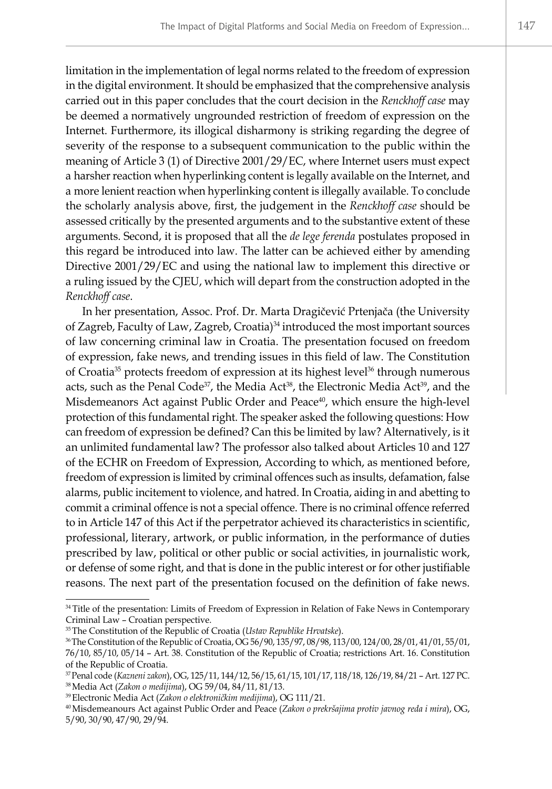limitation in the implementation of legal norms related to the freedom of expression in the digital environment. It should be emphasized that the comprehensive analysis carried out in this paper concludes that the court decision in the *Renckhoff case* may be deemed a normatively ungrounded restriction of freedom of expression on the Internet. Furthermore, its illogical disharmony is striking regarding the degree of severity of the response to a subsequent communication to the public within the meaning of Article 3 (1) of Directive 2001/29/EC, where Internet users must expect a harsher reaction when hyperlinking content is legally available on the Internet, and a more lenient reaction when hyperlinking content is illegally available. To conclude the scholarly analysis above, first, the judgement in the *Renckhoff case* should be assessed critically by the presented arguments and to the substantive extent of these arguments. Second, it is proposed that all the *de lege ferenda* postulates proposed in this regard be introduced into law. The latter can be achieved either by amending Directive 2001/29/EC and using the national law to implement this directive or a ruling issued by the CJEU, which will depart from the construction adopted in the *Renckhoff case*.

In her presentation, Assoc. Prof. Dr. Marta Dragičević Prtenjača (the University of Zagreb, Faculty of Law, Zagreb, Croatia)34 introduced the most important sources of law concerning criminal law in Croatia. The presentation focused on freedom of expression, fake news, and trending issues in this field of law. The Constitution of Croatia<sup>35</sup> protects freedom of expression at its highest level<sup>36</sup> through numerous acts, such as the Penal Code<sup>37</sup>, the Media Act<sup>38</sup>, the Electronic Media Act<sup>39</sup>, and the Misdemeanors Act against Public Order and Peace<sup>40</sup>, which ensure the high-level protection of this fundamental right. The speaker asked the following questions: How can freedom of expression be defined? Can this be limited by law? Alternatively, is it an unlimited fundamental law? The professor also talked about Articles 10 and 127 of the ECHR on Freedom of Expression, According to which, as mentioned before, freedom of expression is limited by criminal offences such as insults, defamation, false alarms, public incitement to violence, and hatred. In Croatia, aiding in and abetting to commit a criminal offence is not a special offence. There is no criminal offence referred to in Article 147 of this Act if the perpetrator achieved its characteristics in scientific, professional, literary, artwork, or public information, in the performance of duties prescribed by law, political or other public or social activities, in journalistic work, or defense of some right, and that is done in the public interest or for other justifiable reasons. The next part of the presentation focused on the definition of fake news.

<sup>&</sup>lt;sup>34</sup> Title of the presentation: Limits of Freedom of Expression in Relation of Fake News in Contemporary Criminal Law – Croatian perspective.

<sup>35</sup>The Constitution of the Republic of Croatia (*Ustav Republike Hrvatske*).

<sup>36</sup>The Constitution of the Republic of Croatia, OG 56/90, 135/97, 08/98, 113/00, 124/00, 28/01, 41/01, 55/01, 76/10, 85/10, 05/14 – Art. 38. Constitution of the Republic of Croatia; restrictions Art. 16. Constitution of the Republic of Croatia.

<sup>37</sup>Penal code (*Kazneni zakon*), OG, 125/11, 144/12, 56/15, 61/15, 101/17, 118/18, 126/19, 84/21 – Art. 127 PC. <sup>38</sup>Media Act (*Zakon o medijima*), OG 59/04, 84/11, 81/13.

<sup>39</sup>Electronic Media Act (*Zakon o elektroničkim medijima*), OG 111/21.

<sup>40</sup> Misdemeanours Act against Public Order and Peace (*Zakon o prekršajima protiv javnog reda i mira*), OG, 5/90, 30/90, 47/90, 29/94.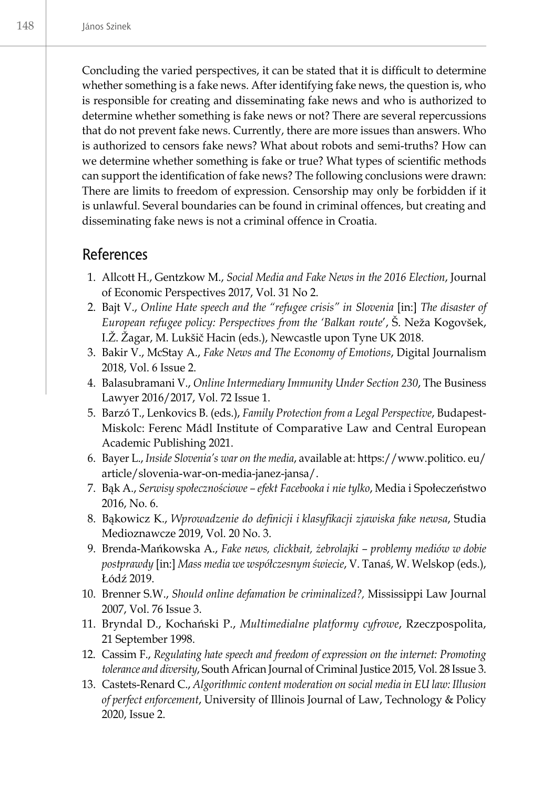Concluding the varied perspectives, it can be stated that it is difficult to determine whether something is a fake news. After identifying fake news, the question is, who is responsible for creating and disseminating fake news and who is authorized to determine whether something is fake news or not? There are several repercussions that do not prevent fake news. Currently, there are more issues than answers. Who is authorized to censors fake news? What about robots and semi-truths? How can we determine whether something is fake or true? What types of scientific methods can support the identification of fake news? The following conclusions were drawn: There are limits to freedom of expression. Censorship may only be forbidden if it is unlawful. Several boundaries can be found in criminal offences, but creating and disseminating fake news is not a criminal offence in Croatia.

#### References

- 1. Allcott H., Gentzkow M., *Social Media and Fake News in the 2016 Election*, Journal of Economic Perspectives 2017, Vol. 31 No 2.
- 2. Bajt V., *Online Hate speech and the "refugee crisis" in Slovenia* [in:] *The disaster of European refugee policy: Perspectives from the 'Balkan route*', Š. Neža Kogovšek, I.Ž. Žagar, M. Lukšič Hacin (eds.), Newcastle upon Tyne UK 2018.
- 3. Bakir V., McStay A., *Fake News and The Economy of Emotions*, Digital Journalism 2018, Vol. 6 Issue 2.
- 4. Balasubramani V., *Online Intermediary Immunity Under Section 230*, The Business Lawyer 2016/2017, Vol. 72 Issue 1.
- 5. Barzó T., Lenkovics B. (eds.), *Family Protection from a Legal Perspective*, Budapest-Miskolc: Ferenc Mádl Institute of Comparative Law and Central European Academic Publishing 2021.
- 6. Bayer L., *Inside Slovenia's war on the media*, available at: https://www.politico. eu/ article/slovenia-war-on-media-janez-jansa/.
- 7. Bąk A., *Serwisy społecznościowe efekt Facebooka i nie tylko*, Media i Społeczeństwo 2016, No. 6.
- 8. Bąkowicz K., *Wprowadzenie do definicji i klasyfikacji zjawiska fake newsa*, Studia Medioznawcze 2019, Vol. 20 No. 3.
- 9. Brenda-Mańkowska A., *Fake news, clickbait, żebrolajki problemy mediów w dobie postprawdy* [in:] *Mass media we współczesnym świecie*, V. Tanaś, W. Welskop (eds.), Łódź 2019.
- 10. Brenner S.W., *Should online defamation be criminalized?,* Mississippi Law Journal 2007, Vol. 76 Issue 3.
- 11. Bryndal D., Kochański P., *Multimedialne platformy cyfrowe*, Rzeczpospolita, 21 September 1998.
- 12. Cassim F., *Regulating hate speech and freedom of expression on the internet: Promoting tolerance and diversity*, South African Journal of Criminal Justice 2015, Vol. 28 Issue 3.
- 13. Castets-Renard C., *Algorithmic content moderation on social media in EU law: Illusion of perfect enforcement*, University of Illinois Journal of Law, Technology & Policy 2020, Issue 2.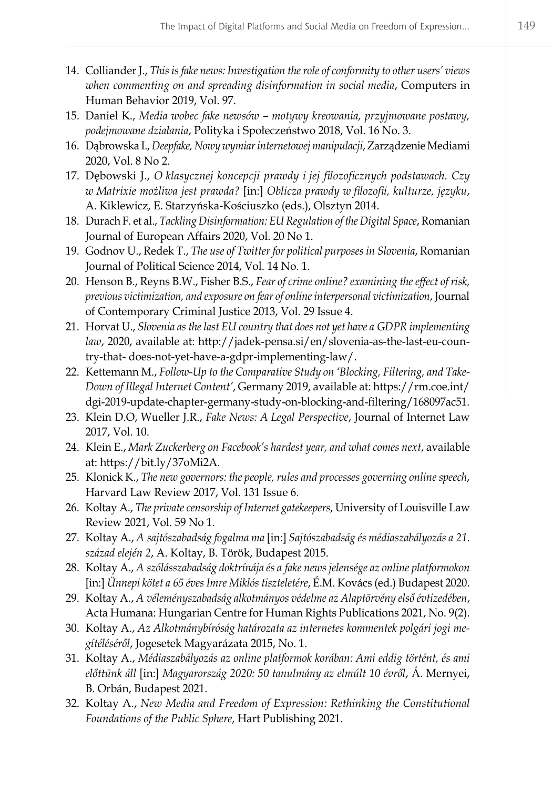- 14. Colliander J., *This is fake news: Investigation the role of conformity to other users' views when commenting on and spreading disinformation in social media*, Computers in Human Behavior 2019, Vol. 97.
- 15. Daniel K., *Media wobec fake newsów motywy kreowania, przyjmowane postawy, podejmowane działania*, Polityka i Społeczeństwo 2018, Vol. 16 No. 3.
- 16. Dąbrowska I., *Deepfake, Nowy wymiar internetowej manipulacji*, Zarządzenie Mediami 2020, Vol. 8 No 2.
- 17. Dębowski J., *O klasycznej koncepcji prawdy i jej filozoficznych podstawach. Czy w Matrixie możliwa jest prawda?* [in:] *Oblicza prawdy w filozofii, kulturze, języku*, A. Kiklewicz, E. Starzyńska-Kościuszko (eds.), Olsztyn 2014.
- 18. Durach F. et al., *Tackling Disinformation: EU Regulation of the Digital Space*, Romanian Journal of European Affairs 2020, Vol. 20 No 1.
- 19. Godnov U., Redek T., *The use of Twitter for political purposes in Slovenia*, Romanian Journal of Political Science 2014, Vol. 14 No. 1.
- 20. Henson B., Reyns B.W., Fisher B.S., *Fear of crime online? examining the effect of risk, previous victimization, and exposure on fear of online interpersonal victimization*, Journal of Contemporary Criminal Justice 2013, Vol. 29 Issue 4.
- 21. Horvat U., *Slovenia as the last EU country that does not yet have a GDPR implementing law*, 2020, available at: http://jadek-pensa.si/en/slovenia-as-the-last-eu-country-that- does-not-yet-have-a-gdpr-implementing-law/.
- 22. Kettemann M., *Follow-Up to the Comparative Study on 'Blocking, Filtering, and Take-Down of Illegal Internet Content'*, Germany 2019, available at: https://rm.coe.int/ dgi-2019-update-chapter-germany-study-on-blocking-and-filtering/168097ac51.
- 23. Klein D.O, Wueller J.R., *Fake News: A Legal Perspective*, Journal of Internet Law 2017, Vol. 10.
- 24. Klein E., *Mark Zuckerberg on Facebook's hardest year, and what comes next*, available at: https://bit.ly/37oMi2A.
- 25. Klonick K., *The new governors: the people, rules and processes governing online speech*, Harvard Law Review 2017, Vol. 131 Issue 6.
- 26. Koltay A., *The private censorship of Internet gatekeepers*, University of Louisville Law Review 2021, Vol. 59 No 1.
- 27. Koltay A., *A sajtószabadság fogalma ma* [in:] *Sajtószabadság és médiaszabályozás a 21. század elején 2*, A. Koltay, B. Török, Budapest 2015.
- 28. Koltay A., *A szólásszabadság doktrínája és a fake news jelensége az online platformokon* [in:] *Ünnepi kötet a 65 éves Imre Miklós tiszteletére*, É.M. Kovács (ed.) Budapest 2020.
- 29. Koltay A., *A véleményszabadság alkotmányos védelme az Alaptörvény első évtizedében*, Acta Humana: Hungarian Centre for Human Rights Publications 2021, No. 9(2).
- 30. Koltay A., *Az Alkotmánybíróság határozata az internetes kommentek polgári jogi megítéléséről*, Jogesetek Magyarázata 2015, No. 1.
- 31. Koltay A., *Médiaszabályozás az online platformok korában: Ami eddig történt, és ami előttünk áll* [in:] *Magyarország 2020: 50 tanulmány az elmúlt 10 évről*, Á. Mernyei, B. Orbán, Budapest 2021.
- 32. Koltay A., *New Media and Freedom of Expression: Rethinking the Constitutional Foundations of the Public Sphere*, Hart Publishing 2021.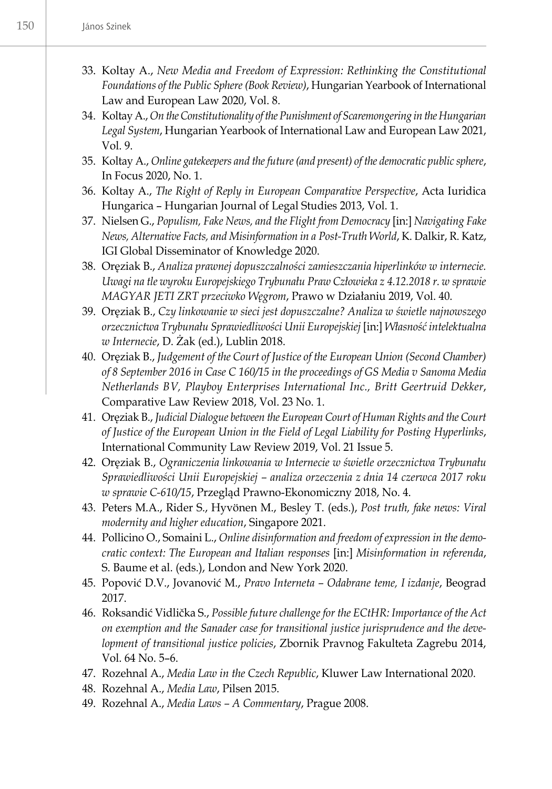- 33. Koltay A., *New Media and Freedom of Expression: Rethinking the Constitutional Foundations of the Public Sphere (Book Review)*, Hungarian Yearbook of International Law and European Law 2020, Vol. 8.
- 34. Koltay A., *On the Constitutionality of the Punishment of Scaremongering in the Hungarian Legal System*, Hungarian Yearbook of International Law and European Law 2021, Vol. 9.
- 35. Koltay A., *Online gatekeepers and the future (and present) of the democratic public sphere*, In Focus 2020, No. 1.
- 36. Koltay A., *The Right of Reply in European Comparative Perspective*, Acta Iuridica Hungarica – Hungarian Journal of Legal Studies 2013, Vol. 1.
- 37. Nielsen G., *Populism, Fake News, and the Flight from Democracy* [in:] *Navigating Fake News, Alternative Facts, and Misinformation in a Post-Truth World*, K. Dalkir, R. Katz, IGI Global Disseminator of Knowledge 2020.
- 38. Oręziak B., *Analiza prawnej dopuszczalności zamieszczania hiperlinków w internecie. Uwagi na tle wyroku Europejskiego Trybunału Praw Człowieka z 4.12.2018 r. w sprawie MAGYAR JETI ZRT przeciwko Węgrom*, Prawo w Działaniu 2019, Vol. 40.
- 39. Oręziak B., *Czy linkowanie w sieci jest dopuszczalne? Analiza w świetle najnowszego orzecznictwa Trybunału Sprawiedliwości Unii Europejskiej* [in:] *Własność intelektualna w Internecie*, D. Żak (ed.), Lublin 2018.
- 40. Oręziak B., *Judgement of the Court of Justice of the European Union (Second Chamber) of 8 September 2016 in Case C 160/15 in the proceedings of GS Media v Sanoma Media Netherlands BV, Playboy Enterprises International Inc., Britt Geertruid Dekker*, Comparative Law Review 2018, Vol. 23 No. 1.
- 41. Oręziak B., *Judicial Dialogue between the European Court of Human Rights and the Court of Justice of the European Union in the Field of Legal Liability for Posting Hyperlinks*, International Community Law Review 2019, Vol. 21 Issue 5.
- 42. Oręziak B., *Ograniczenia linkowania w Internecie w świetle orzecznictwa Trybunału Sprawiedliwości Unii Europejskiej – analiza orzeczenia z dnia 14 czerwca 2017 roku w sprawie C-610/15*, Przegląd Prawno-Ekonomiczny 2018, No. 4.
- 43. Peters M.A., Rider S., Hyvönen M., Besley T. (eds.), *Post truth, fake news: Viral modernity and higher education*, Singapore 2021.
- 44. Pollicino O., Somaini L., *Online disinformation and freedom of expression in the democratic context: The European and Italian responses* [in:] *Misinformation in referenda*, S. Baume et al. (eds.), London and New York 2020.
- 45. Popović D.V., Jovanović M., *Pravo Interneta Odabrane teme, I izdanje*, Beograd 2017.
- 46. Roksandić Vidlička S., *Possible future challenge for the ECtHR: Importance of the Act on exemption and the Sanader case for transitional justice jurisprudence and the development of transitional justice policies*, Zbornik Pravnog Fakulteta Zagrebu 2014, Vol. 64 No. 5–6.
- 47. Rozehnal A., *Media Law in the Czech Republic*, Kluwer Law International 2020.
- 48. Rozehnal A., *Media Law*, Pilsen 2015.
- 49. Rozehnal A., *Media Laws A Commentary*, Prague 2008.